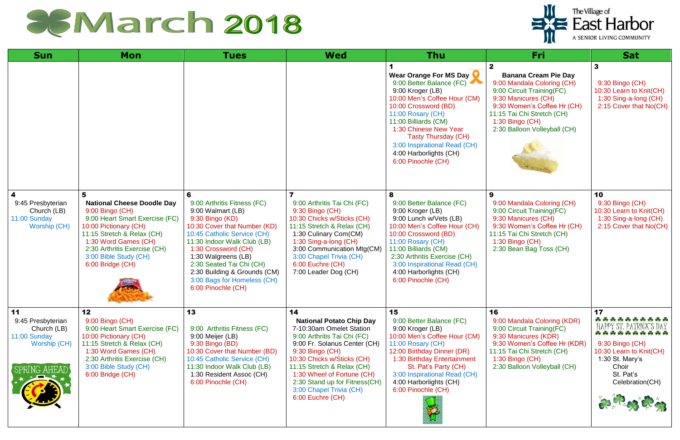## 23 March 2018

| <b>Sun</b>                                                                                    | <b>Mon</b>                                                                                                                                                                                                                                                                                   | <b>Tues</b>                                                                                                                                                                                                                                                                                                                      | <b>Wed</b>                                                                                                                                                                                                                                                                                                                    | <b>Thu</b>                                                                                                                                                                                                                                                                                                         | Fri                                                                                                                                                                                                                                          | <b>Sat</b>                                                                                                                                                                  |
|-----------------------------------------------------------------------------------------------|----------------------------------------------------------------------------------------------------------------------------------------------------------------------------------------------------------------------------------------------------------------------------------------------|----------------------------------------------------------------------------------------------------------------------------------------------------------------------------------------------------------------------------------------------------------------------------------------------------------------------------------|-------------------------------------------------------------------------------------------------------------------------------------------------------------------------------------------------------------------------------------------------------------------------------------------------------------------------------|--------------------------------------------------------------------------------------------------------------------------------------------------------------------------------------------------------------------------------------------------------------------------------------------------------------------|----------------------------------------------------------------------------------------------------------------------------------------------------------------------------------------------------------------------------------------------|-----------------------------------------------------------------------------------------------------------------------------------------------------------------------------|
|                                                                                               |                                                                                                                                                                                                                                                                                              |                                                                                                                                                                                                                                                                                                                                  |                                                                                                                                                                                                                                                                                                                               | Wear Orange For MS Day<br>9:00 Better Balance (FC)<br>9:00 Kroger (LB)<br>10:00 Men's Coffee Hour (CM)<br>10:00 Crossword (BD)<br>11:00 Rosary (CH)<br>11:00 Billiards (CM)<br>1:30 Chinese New Year<br><b>Tasty Thursday (CH)</b><br>3:00 Inspirational Read (CH)<br>4:00 Harborlights (CH)<br>6:00 Pinochle (CH) | $\mathbf 2$<br><b>Banana Cream Pie Day</b><br>9:00 Mandala Coloring (CH)<br>9:00 Circuit Training(FC)<br>9:30 Manicures (CH)<br>9:30 Women's Coffee Hr (CH)<br>11:15 Tai Chi Stretch (CH)<br>1:30 Bingo (CH)<br>2:30 Balloon Volleyball (CH) | $\mathbf{3}$<br>9:30 Bingo (CH)<br>10:30 Learn to Knit(CH)<br>1:30 Sing-a-long (CH)<br>2:15 Cover that No(CH)                                                               |
| 4<br>9:45 Presbyterian<br>Church (LB)<br>11:00 Sunday<br>Worship (CH)                         | <b>National Cheese Doodle Day</b><br>9:00 Bingo (CH)<br>9:00 Heart Smart Exercise (FC)<br>10:00 Pictionary (CH)<br>11:15 Stretch & Relax (CH)<br>1:30 Word Games (CH)<br>2:30 Arthritis Exercise (CH)<br>3:00 Bible Study (CH)<br>6:00 Bridge (CH)<br>and Street, the Company of the Company | 9:00 Arthritis Fitness (FC)<br>9:00 Walmart (LB)<br>9:30 Bingo (KD)<br>10:30 Cover that Number (KD)<br>10:45 Catholic Service (CH)<br>11:30 Indoor Walk Club (LB)<br>1:30 Crossword (CH)<br>1:30 Walgreens (LB)<br>2:30 Seated Tai Chi (CH)<br>2:30 Building & Grounds (CM)<br>3:00 Bags for Homeless (CH)<br>6:00 Pinochle (CH) | 9:00 Arthritis Tai Chi (FC)<br>9:30 Bingo (CH)<br>10:30 Chicks w/Sticks (CH)<br>11:15 Stretch & Relax (CH)<br>1:30 Culinary Com(CM)<br>1:30 Sing-a-long (CH)<br>3:00 Communication Mtg(CM)<br>3:00 Chapel Trivia (CH)<br>6:00 Euchre (CH)<br>7:00 Leader Dog (CH)                                                             | 9:00 Better Balance (FC)<br>9:00 Kroger (LB)<br>9:00 Lunch w/Vets (LB)<br>10:00 Men's Coffee Hour (CH)<br>10:00 Crossword (BD)<br>11:00 Rosary (CH)<br>11:00 Billiards (CM)<br>2:30 Arthritis Exercise (CH)<br>3:00 Inspirational Read (CH)<br>4:00 Harborlights (CH)<br>6:00 Pinochle (CH)                        | 9<br>9:00 Mandala Coloring (CH)<br>9:00 Circuit Training(FC)<br>9:30 Manicures (CH)<br>9:30 Women's Coffee Hr (CH)<br>11:15 Tai Chi Stretch (CH)<br>1:30 Bingo (CH)<br>2:30 Bean Bag Toss (CH)                                               | 10<br>9:30 Bingo (CH)<br>10:30 Learn to Knit(CH)<br>1:30 Sing-a-long (CH)<br>2:15 Cover that No(CH)                                                                         |
| 11<br>9:45 Presbyterian<br>Church (LB)<br>11:00 Sunday<br>Worship (CH)<br><b>SPRING AHEAD</b> | 12<br>9:00 Bingo (CH)<br>9:00 Heart Smart Exercise (FC)<br>10:00 Pictionary (CH)<br>11:15 Stretch & Relax (CH)<br>1:30 Word Games (CH)<br>2:30 Arthritis Exercise (CH)<br>3:00 Bible Study (CH)<br>6:00 Bridge (CH)                                                                          | 13<br>9:00 Arthritis Fitness (FC)<br>9:00 Meijer (LB)<br>9:30 Bingo (BD)<br>10:30 Cover that Number (BD)<br>10:45 Catholic Service (CH)<br>11:30 Indoor Walk Club (LB)<br>1:30 Resident Assoc (CH)<br>6:00 Pinochle (CH)                                                                                                         | 14<br><b>National Potato Chip Day</b><br>7-10:30am Omelet Station<br>9:00 Arthritis Tai Chi (FC)<br>9:00 Fr. Solanus Center (CH)<br>9:30 Bingo (CH)<br>10:30 Chicks w/Sticks (CH)<br>11:15 Stretch & Relax (CH)<br>1:30 Wheel of Fortune (CH)<br>2:30 Stand up for Fitness(CH)<br>3:00 Chapel Trivia (CH)<br>6:00 Euchre (CH) | 15<br>9:00 Better Balance (FC)<br>9:00 Kroger (LB)<br>10:00 Men's Coffee Hour (CM)<br>11:00 Rosary (CH)<br>12:00 Birthday Dinner (DR)<br>1:30 Birthday Entertainment<br>St. Pat's Party (CH)<br>3:00 Inspirational Read (CH)<br>4:00 Harborlights (CH)<br>6:00 Pinochle (CH)                                       | 16<br>9:00 Mandala Coloring (KDR)<br>9:00 Circuit Training(FC)<br>9:30 Manicures (KDR)<br>9:30 Women's Coffee Hr (KDR)<br>11:15 Tai Chi Stretch (CH)<br>1:30 Bingo (CH)<br>2:30 Balloon Volleyball (CH)                                      | 17<br>No de de la de de de de de de de<br>HAPPY ST. PATRICK'S DAY<br>9:30 Bingo (CH)<br>10:30 Learn to Knit(CH)<br>1:30 St. Mary's<br>Choir<br>St. Pat's<br>Celebration(CH) |

## The Village of<br> **East Harbor** A SENIOR LIVING COMMUNITY